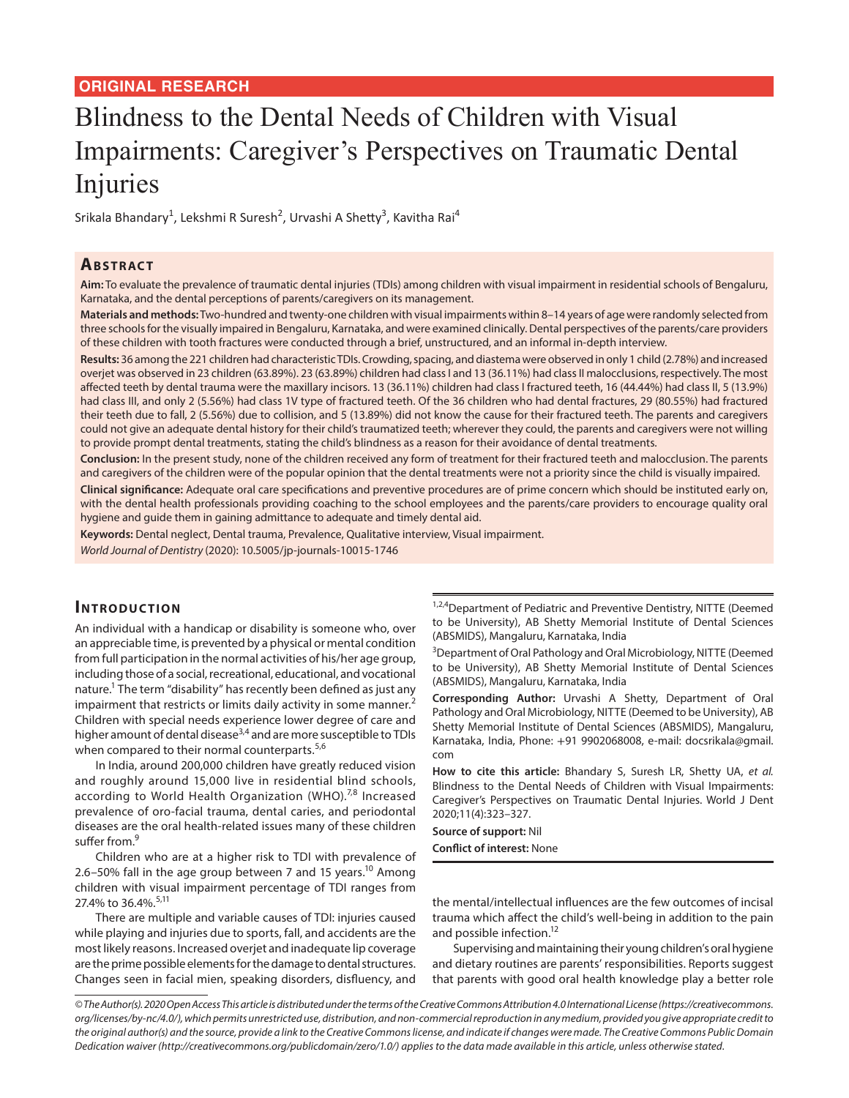# Blindness to the Dental Needs of Children with Visual Impairments: Caregiver's Perspectives on Traumatic Dental Injuries

Srikala Bhandary<sup>1</sup>, Lekshmi R Suresh<sup>2</sup>, Urvashi A Shetty<sup>3</sup>, Kavitha Rai<sup>4</sup>

## **ABSTRACT**

**Aim:** To evaluate the prevalence of traumatic dental injuries (TDIs) among children with visual impairment in residential schools of Bengaluru, Karnataka, and the dental perceptions of parents/caregivers on its management.

**Materials and methods:** Two-hundred and twenty-one children with visual impairments within 8–14 years of age were randomly selected from three schools for the visually impaired in Bengaluru, Karnataka, and were examined clinically. Dental perspectives of the parents/care providers of these children with tooth fractures were conducted through a brief, unstructured, and an informal in-depth interview.

**Results:** 36 among the 221 children had characteristic TDIs. Crowding, spacing, and diastema were observed in only 1 child (2.78%) and increased overjet was observed in 23 children (63.89%). 23 (63.89%) children had class I and 13 (36.11%) had class II malocclusions, respectively. The most affected teeth by dental trauma were the maxillary incisors. 13 (36.11%) children had class I fractured teeth, 16 (44.44%) had class II, 5 (13.9%) had class III, and only 2 (5.56%) had class 1V type of fractured teeth. Of the 36 children who had dental fractures, 29 (80.55%) had fractured their teeth due to fall, 2 (5.56%) due to collision, and 5 (13.89%) did not know the cause for their fractured teeth. The parents and caregivers could not give an adequate dental history for their child's traumatized teeth; wherever they could, the parents and caregivers were not willing to provide prompt dental treatments, stating the child's blindness as a reason for their avoidance of dental treatments.

**Conclusion:** In the present study, none of the children received any form of treatment for their fractured teeth and malocclusion. The parents and caregivers of the children were of the popular opinion that the dental treatments were not a priority since the child is visually impaired.

**Clinical significance:** Adequate oral care specifications and preventive procedures are of prime concern which should be instituted early on, with the dental health professionals providing coaching to the school employees and the parents/care providers to encourage quality oral hygiene and guide them in gaining admittance to adequate and timely dental aid.

**Keywords:** Dental neglect, Dental trauma, Prevalence, Qualitative interview, Visual impairment. *World Journal of Dentistry* (2020): 10.5005/jp-journals-10015-1746

## **INTRODUCTION**

An individual with a handicap or disability is someone who, over an appreciable time, is prevented by a physical or mental condition from full participation in the normal activities of his/her age group, including those of a social, recreational, educational, and vocational nature.<sup>1</sup> The term "disability" has recently been defined as just any impairment that restricts or limits daily activity in some manner.<sup>2</sup> Children with special needs experience lower degree of care and higher amount of dental disease<sup>3,4</sup> and are more susceptible to TDIs when compared to their normal counterparts.<sup>5,6</sup>

In India, around 200,000 children have greatly reduced vision and roughly around 15,000 live in residential blind schools, according to World Health Organization (WHO). $^{7,8}$  Increased prevalence of oro-facial trauma, dental caries, and periodontal diseases are the oral health-related issues many of these children suffer from.<sup>9</sup>

Children who are at a higher risk to TDI with prevalence of 2.6–50% fall in the age group between 7 and 15 years.<sup>10</sup> Among children with visual impairment percentage of TDI ranges from 27.4% to 36.4%.<sup>5,11</sup>

There are multiple and variable causes of TDI: injuries caused while playing and injuries due to sports, fall, and accidents are the most likely reasons. Increased overjet and inadequate lip coverage are the prime possible elements for the damage to dental structures. Changes seen in facial mien, speaking disorders, disfluency, and

1,2,4 Department of Pediatric and Preventive Dentistry, NITTE (Deemed to be University), AB Shetty Memorial Institute of Dental Sciences (ABSMIDS), Mangaluru, Karnataka, India

<sup>3</sup>Department of Oral Pathology and Oral Microbiology, NITTE (Deemed to be University), AB Shetty Memorial Institute of Dental Sciences (ABSMIDS), Mangaluru, Karnataka, India

**Corresponding Author:** Urvashi A Shetty, Department of Oral Pathology and Oral Microbiology, NITTE (Deemed to be University), AB Shetty Memorial Institute of Dental Sciences (ABSMIDS), Mangaluru, Karnataka, India, Phone: +91 9902068008, e-mail: docsrikala@gmail. com

**How to cite this article:** Bhandary S, Suresh LR, Shetty UA, *et al.* Blindness to the Dental Needs of Children with Visual Impairments: Caregiver's Perspectives on Traumatic Dental Injuries. World J Dent 2020;11(4):323–327.

**Source of support:** Nil

**Conflict of interest:** None

the mental/intellectual influences are the few outcomes of incisal trauma which affect the child's well-being in addition to the pain and possible infection.<sup>12</sup>

Supervising and maintaining their young children's oral hygiene and dietary routines are parents' responsibilities. Reports suggest that parents with good oral health knowledge play a better role

*© The Author(s). 2020 Open Access This article is distributed under the terms of the Creative Commons Attribution 4.0 International License (https://creativecommons. org/licenses/by-nc/4.0/), which permits unrestricted use, distribution, and non-commercial reproduction in any medium, provided you give appropriate credit to the original author(s) and the source, provide a link to the Creative Commons license, and indicate if changes were made. The Creative Commons Public Domain Dedication waiver (http://creativecommons.org/publicdomain/zero/1.0/) applies to the data made available in this article, unless otherwise stated.*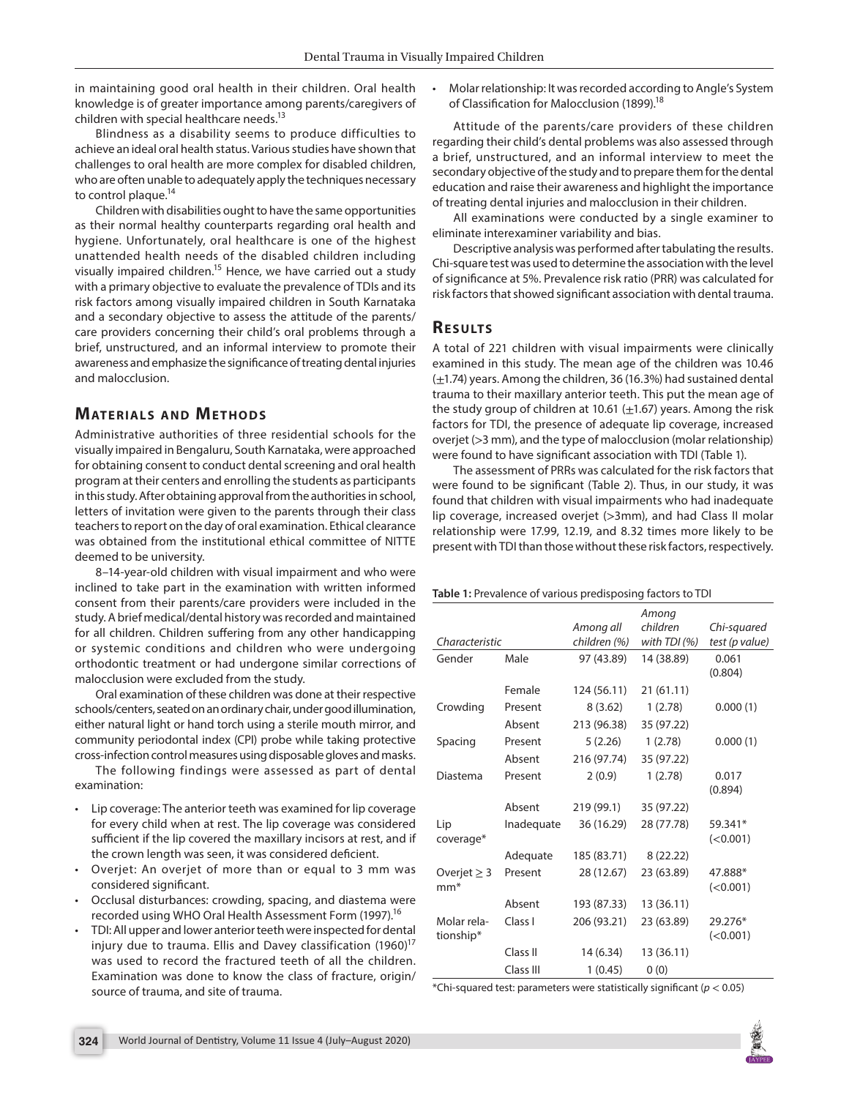in maintaining good oral health in their children. Oral health knowledge is of greater importance among parents/caregivers of children with special healthcare needs.<sup>13</sup>

Blindness as a disability seems to produce difficulties to achieve an ideal oral health status. Various studies have shown that challenges to oral health are more complex for disabled children, who are often unable to adequately apply the techniques necessary to control plaque.<sup>14</sup>

Children with disabilities ought to have the same opportunities as their normal healthy counterparts regarding oral health and hygiene. Unfortunately, oral healthcare is one of the highest unattended health needs of the disabled children including visually impaired children.<sup>15</sup> Hence, we have carried out a study with a primary objective to evaluate the prevalence of TDIs and its risk factors among visually impaired children in South Karnataka and a secondary objective to assess the attitude of the parents/ care providers concerning their child's oral problems through a brief, unstructured, and an informal interview to promote their awareness and emphasize the significance of treating dental injuries and malocclusion.

## **MATERIALS AND METHODS**

Administrative authorities of three residential schools for the visually impaired in Bengaluru, South Karnataka, were approached for obtaining consent to conduct dental screening and oral health program at their centers and enrolling the students as participants in this study. After obtaining approval from the authorities in school, letters of invitation were given to the parents through their class teachers to report on the day of oral examination. Ethical clearance was obtained from the institutional ethical committee of NITTE deemed to be university.

8–14-year-old children with visual impairment and who were inclined to take part in the examination with written informed consent from their parents/care providers were included in the study. A brief medical/dental history was recorded and maintained for all children. Children suffering from any other handicapping or systemic conditions and children who were undergoing orthodontic treatment or had undergone similar corrections of malocclusion were excluded from the study.

Oral examination of these children was done at their respective schools/centers, seated on an ordinary chair, under good illumination, either natural light or hand torch using a sterile mouth mirror, and community periodontal index (CPI) probe while taking protective cross-infection control measures using disposable gloves and masks.

The following findings were assessed as part of dental examination:

- Lip coverage: The anterior teeth was examined for lip coverage for every child when at rest. The lip coverage was considered sufficient if the lip covered the maxillary incisors at rest, and if the crown length was seen, it was considered deficient.
- Overjet: An overjet of more than or equal to 3 mm was considered significant.
- Occlusal disturbances: crowding, spacing, and diastema were recorded using WHO Oral Health Assessment Form (1997).<sup>16</sup>
- TDI: All upper and lower anterior teeth were inspected for dental injury due to trauma. Ellis and Davey classification  $(1960)^{17}$ was used to record the fractured teeth of all the children. Examination was done to know the class of fracture, origin/ source of trauma, and site of trauma.

• Molar relationship: It was recorded according to Angle's System of Classification for Malocclusion (1899).<sup>18</sup>

Attitude of the parents/care providers of these children regarding their child's dental problems was also assessed through a brief, unstructured, and an informal interview to meet the secondary objective of the study and to prepare them for the dental education and raise their awareness and highlight the importance of treating dental injuries and malocclusion in their children.

All examinations were conducted by a single examiner to eliminate interexaminer variability and bias.

Descriptive analysis was performed after tabulating the results. Chi-square test was used to determine the association with the level of significance at 5%. Prevalence risk ratio (PRR) was calculated for risk factors that showed significant association with dental trauma.

#### **Re s u lts**

A total of 221 children with visual impairments were clinically examined in this study. The mean age of the children was 10.46  $(\pm 1.74)$  years. Among the children, 36 (16.3%) had sustained dental trauma to their maxillary anterior teeth. This put the mean age of the study group of children at 10.61  $(\pm 1.67)$  years. Among the risk factors for TDI, the presence of adequate lip coverage, increased overjet (>3 mm), and the type of malocclusion (molar relationship) were found to have significant association with TDI (Table 1).

The assessment of PRRs was calculated for the risk factors that were found to be significant (Table 2). Thus, in our study, it was found that children with visual impairments who had inadequate lip coverage, increased overjet (>3mm), and had Class II molar relationship were 17.99, 12.19, and 8.32 times more likely to be present with TDI than those without these risk factors, respectively.

#### **Table 1:** Prevalence of various predisposing factors to TDI

|                  |            | Among all    | Among<br>children | Chi-squared    |
|------------------|------------|--------------|-------------------|----------------|
| Characteristic   |            | children (%) | with TDI $(\%)$   | test (p value) |
| Gender           | Male       | 97 (43.89)   | 14 (38.89)        | 0.061          |
|                  |            |              |                   | (0.804)        |
|                  | Female     | 124 (56.11)  | 21(61.11)         |                |
| Crowding         | Present    | 8(3.62)      | 1(2.78)           | 0.000(1)       |
|                  | Absent     | 213 (96.38)  | 35 (97.22)        |                |
| Spacing          | Present    | 5(2.26)      | 1(2.78)           | 0.000(1)       |
|                  | Absent     | 216 (97.74)  | 35 (97.22)        |                |
| Diastema         | Present    | 2(0.9)       | 1(2.78)           | 0.017          |
|                  |            |              |                   | (0.894)        |
|                  | Absent     | 219 (99.1)   | 35 (97.22)        |                |
| Lip              | Inadequate | 36 (16.29)   | 28 (77.78)        | 59.341*        |
| coverage*        |            |              |                   | (<0.001)       |
|                  | Adequate   | 185 (83.71)  | 8(22.22)          |                |
| Overjet $\geq$ 3 | Present    | 28 (12.67)   | 23 (63.89)        | 47.888*        |
| $mm^*$           |            |              |                   | (<0.001)       |
|                  | Absent     | 193 (87.33)  | 13 (36.11)        |                |
| Molar rela-      | Class I    | 206 (93.21)  | 23 (63.89)        | 29.276*        |
| tionship*        |            |              |                   | (<0.001)       |
|                  | Class II   | 14 (6.34)    | 13 (36.11)        |                |
|                  | Class III  | 1(0.45)      | 0(0)              |                |

\*Chi-squared test: parameters were statistically significant (*p* < 0.05)

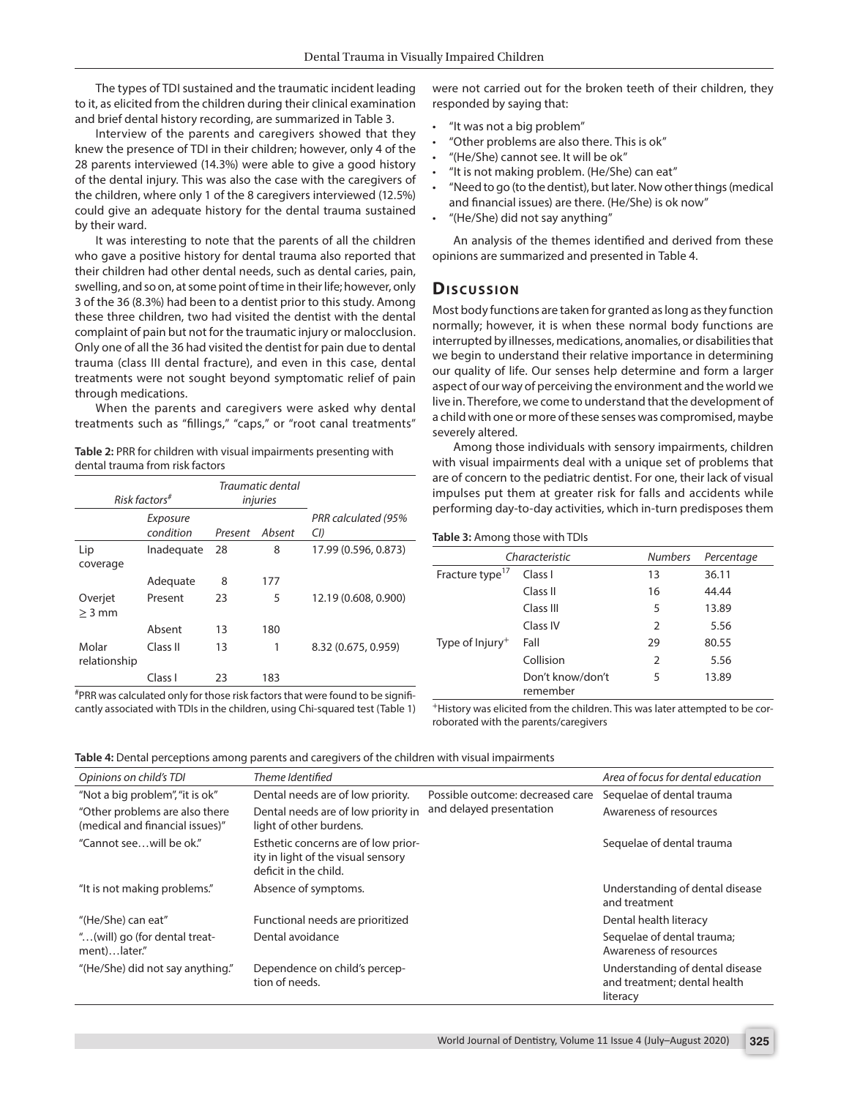The types of TDI sustained and the traumatic incident leading to it, as elicited from the children during their clinical examination and brief dental history recording, are summarized in Table 3.

Interview of the parents and caregivers showed that they knew the presence of TDI in their children; however, only 4 of the 28 parents interviewed (14.3%) were able to give a good history of the dental injury. This was also the case with the caregivers of the children, where only 1 of the 8 caregivers interviewed (12.5%) could give an adequate history for the dental trauma sustained by their ward.

It was interesting to note that the parents of all the children who gave a positive history for dental trauma also reported that their children had other dental needs, such as dental caries, pain, swelling, and so on, at some point of time in their life; however, only 3 of the 36 (8.3%) had been to a dentist prior to this study. Among these three children, two had visited the dentist with the dental complaint of pain but not for the traumatic injury or malocclusion. Only one of all the 36 had visited the dentist for pain due to dental trauma (class III dental fracture), and even in this case, dental treatments were not sought beyond symptomatic relief of pain through medications.

When the parents and caregivers were asked why dental treatments such as "fillings," "caps," or "root canal treatments"

**Table 2:** PRR for children with visual impairments presenting with dental trauma from risk factors

| $Risk$ factors <sup>#</sup> |                       | Traumatic dental<br>injuries |        |                            |
|-----------------------------|-----------------------|------------------------------|--------|----------------------------|
|                             | Exposure<br>condition | Present                      | Ahsent | PRR calculated (95%<br>CI) |
| Lip<br>coverage             | Inadeguate            | 28                           | 8      | 17.99 (0.596, 0.873)       |
|                             | Adequate              | 8                            | 177    |                            |
| Overjet<br>$>$ 3 mm         | Present               | 23                           | 5      | 12.19 (0.608, 0.900)       |
|                             | Absent                | 13                           | 180    |                            |
| Molar<br>relationship       | Class II              | 13                           | 1      | 8.32 (0.675, 0.959)        |
|                             | Class I               | 23                           | 183    |                            |

# PRR was calculated only for those risk factors that were found to be significantly associated with TDIs in the children, using Chi-squared test (Table 1) were not carried out for the broken teeth of their children, they responded by saying that:

- "It was not a big problem"
- "Other problems are also there. This is ok"
- "(He/She) cannot see. It will be ok"
- "It is not making problem. (He/She) can eat"
- "Need to go (to the dentist), but later. Now other things (medical and financial issues) are there. (He/She) is ok now"
- "(He/She) did not say anything"

An analysis of the themes identified and derived from these opinions are summarized and presented in Table 4.

#### **Dis c u s sio n**

Most body functions are taken for granted as long as they function normally; however, it is when these normal body functions are interrupted by illnesses, medications, anomalies, or disabilities that we begin to understand their relative importance in determining our quality of life. Our senses help determine and form a larger aspect of our way of perceiving the environment and the world we live in. Therefore, we come to understand that the development of a child with one or more of these senses was compromised, maybe severely altered.

Among those individuals with sensory impairments, children with visual impairments deal with a unique set of problems that are of concern to the pediatric dentist. For one, their lack of visual impulses put them at greater risk for falls and accidents while performing day-to-day activities, which in-turn predisposes them

#### **Table 3:** Among those with TDIs

|                             | Characteristic               | <b>Numbers</b> | Percentage |
|-----------------------------|------------------------------|----------------|------------|
| Fracture type <sup>17</sup> | Class I                      | 13             | 36.11      |
|                             | Class II                     | 16             | 44.44      |
|                             | Class III                    | 5              | 13.89      |
|                             | Class IV                     | 2              | 5.56       |
| Type of $Injury+$           | Fall                         | 29             | 80.55      |
|                             | Collision                    | 2              | 5.56       |
|                             | Don't know/don't<br>remember | 5              | 13.89      |
|                             |                              |                |            |

+History was elicited from the children. This was later attempted to be corroborated with the parents/caregivers

**Table 4:** Dental perceptions among parents and caregivers of the children with visual impairments

| Opinions on child's TDI                                           | Theme Identified                                                                                   |                                                              | Area of focus for dental education                                          |
|-------------------------------------------------------------------|----------------------------------------------------------------------------------------------------|--------------------------------------------------------------|-----------------------------------------------------------------------------|
| "Not a big problem", "it is ok"                                   | Dental needs are of low priority.                                                                  | Possible outcome: decreased care<br>and delayed presentation | Sequelae of dental trauma                                                   |
| "Other problems are also there<br>(medical and financial issues)" | Dental needs are of low priority in<br>light of other burdens.                                     |                                                              | Awareness of resources                                                      |
| "Cannot seewill be ok."                                           | Esthetic concerns are of low prior-<br>ity in light of the visual sensory<br>deficit in the child. |                                                              | Sequelae of dental trauma                                                   |
| "It is not making problems."                                      | Absence of symptoms.                                                                               |                                                              | Understanding of dental disease<br>and treatment                            |
| "(He/She) can eat"                                                | Functional needs are prioritized                                                                   |                                                              | Dental health literacy                                                      |
| "(will) go (for dental treat-<br>ment)later."                     | Dental avoidance                                                                                   |                                                              | Sequelae of dental trauma;<br>Awareness of resources                        |
| "(He/She) did not say anything."                                  | Dependence on child's percep-<br>tion of needs.                                                    |                                                              | Understanding of dental disease<br>and treatment; dental health<br>literacy |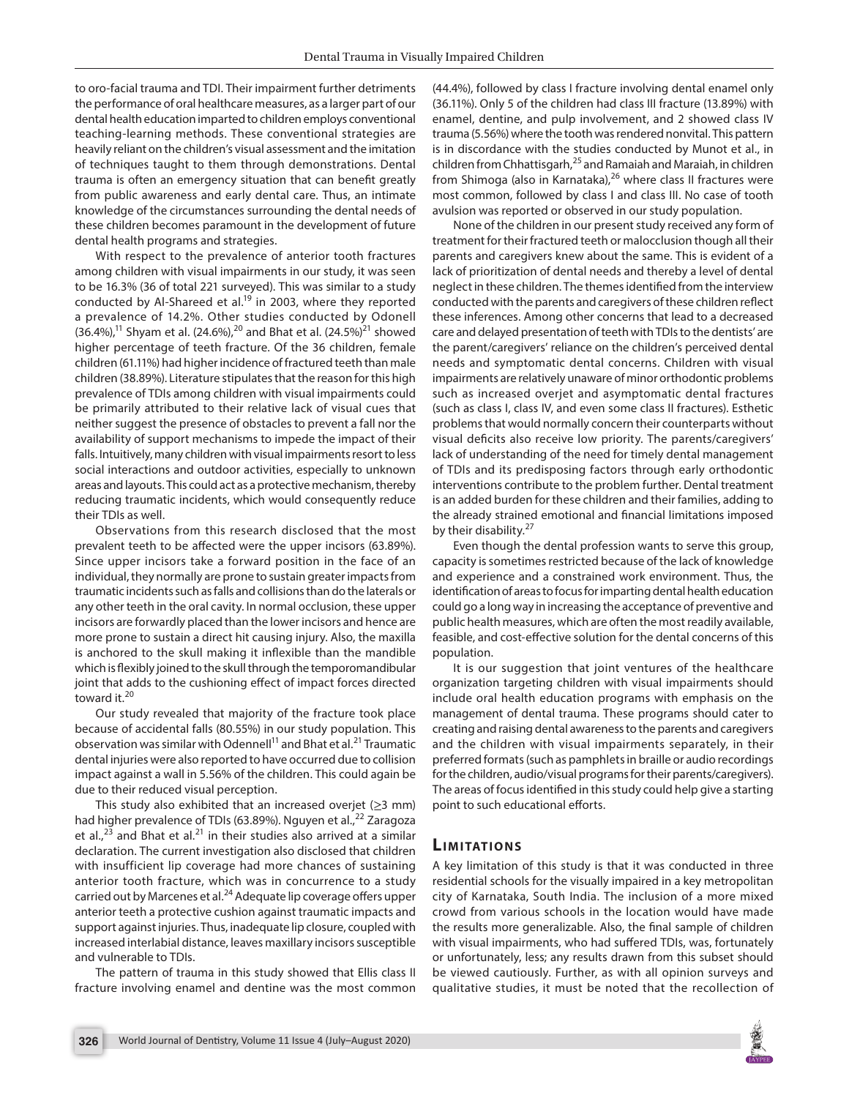to oro-facial trauma and TDI. Their impairment further detriments the performance of oral healthcare measures, as a larger part of our dental health education imparted to children employs conventional teaching-learning methods. These conventional strategies are heavily reliant on the children's visual assessment and the imitation of techniques taught to them through demonstrations. Dental trauma is often an emergency situation that can benefit greatly from public awareness and early dental care. Thus, an intimate knowledge of the circumstances surrounding the dental needs of these children becomes paramount in the development of future dental health programs and strategies.

With respect to the prevalence of anterior tooth fractures among children with visual impairments in our study, it was seen to be 16.3% (36 of total 221 surveyed). This was similar to a study conducted by Al-Shareed et al.<sup>19</sup> in 2003, where they reported a prevalence of 14.2%. Other studies conducted by Odonell  $(36.4\%)$ ,<sup>11</sup> Shyam et al. (24.6%),<sup>20</sup> and Bhat et al. (24.5%)<sup>21</sup> showed higher percentage of teeth fracture. Of the 36 children, female children (61.11%) had higher incidence of fractured teeth than male children (38.89%). Literature stipulates that the reason for this high prevalence of TDIs among children with visual impairments could be primarily attributed to their relative lack of visual cues that neither suggest the presence of obstacles to prevent a fall nor the availability of support mechanisms to impede the impact of their falls. Intuitively, many children with visual impairments resort to less social interactions and outdoor activities, especially to unknown areas and layouts. This could act as a protective mechanism, thereby reducing traumatic incidents, which would consequently reduce their TDIs as well.

Observations from this research disclosed that the most prevalent teeth to be affected were the upper incisors (63.89%). Since upper incisors take a forward position in the face of an individual, they normally are prone to sustain greater impacts from traumatic incidents such as falls and collisions than do the laterals or any other teeth in the oral cavity. In normal occlusion, these upper incisors are forwardly placed than the lower incisors and hence are more prone to sustain a direct hit causing injury. Also, the maxilla is anchored to the skull making it inflexible than the mandible which is flexibly joined to the skull through the temporomandibular joint that adds to the cushioning effect of impact forces directed toward it.<sup>20</sup>

Our study revealed that majority of the fracture took place because of accidental falls (80.55%) in our study population. This observation was similar with Odennell<sup>11</sup> and Bhat et al.<sup>21</sup> Traumatic dental injuries were also reported to have occurred due to collision impact against a wall in 5.56% of the children. This could again be due to their reduced visual perception.

This study also exhibited that an increased overjet ( $\geq$ 3 mm) had higher prevalence of TDIs (63.89%). Nguyen et al.,<sup>22</sup> Zaragoza et al.,<sup>23</sup> and Bhat et al.<sup>21</sup> in their studies also arrived at a similar declaration. The current investigation also disclosed that children with insufficient lip coverage had more chances of sustaining anterior tooth fracture, which was in concurrence to a study carried out by Marcenes et al.<sup>24</sup> Adequate lip coverage offers upper anterior teeth a protective cushion against traumatic impacts and support against injuries. Thus, inadequate lip closure, coupled with increased interlabial distance, leaves maxillary incisors susceptible and vulnerable to TDIs.

The pattern of trauma in this study showed that Ellis class II fracture involving enamel and dentine was the most common

(44.4%), followed by class I fracture involving dental enamel only (36.11%). Only 5 of the children had class III fracture (13.89%) with enamel, dentine, and pulp involvement, and 2 showed class IV trauma (5.56%) where the tooth was rendered nonvital. This pattern is in discordance with the studies conducted by Munot et al., in children from Chhattisgarh, <sup>25</sup> and Ramaiah and Maraiah, in children from Shimoga (also in Karnataka), $^{26}$  where class II fractures were most common, followed by class I and class III. No case of tooth avulsion was reported or observed in our study population.

None of the children in our present study received any form of treatment for their fractured teeth or malocclusion though all their parents and caregivers knew about the same. This is evident of a lack of prioritization of dental needs and thereby a level of dental neglect in these children. The themes identified from the interview conducted with the parents and caregivers of these children reflect these inferences. Among other concerns that lead to a decreased care and delayed presentation of teeth with TDIs to the dentists' are the parent/caregivers' reliance on the children's perceived dental needs and symptomatic dental concerns. Children with visual impairments are relatively unaware of minor orthodontic problems such as increased overjet and asymptomatic dental fractures (such as class I, class IV, and even some class II fractures). Esthetic problems that would normally concern their counterparts without visual deficits also receive low priority. The parents/caregivers' lack of understanding of the need for timely dental management of TDIs and its predisposing factors through early orthodontic interventions contribute to the problem further. Dental treatment is an added burden for these children and their families, adding to the already strained emotional and financial limitations imposed by their disability. $27$ 

Even though the dental profession wants to serve this group, capacity is sometimes restricted because of the lack of knowledge and experience and a constrained work environment. Thus, the identification of areas to focus for imparting dental health education could go a long way in increasing the acceptance of preventive and public health measures, which are often the most readily available, feasible, and cost-effective solution for the dental concerns of this population.

It is our suggestion that joint ventures of the healthcare organization targeting children with visual impairments should include oral health education programs with emphasis on the management of dental trauma. These programs should cater to creating and raising dental awareness to the parents and caregivers and the children with visual impairments separately, in their preferred formats (such as pamphlets in braille or audio recordings for the children, audio/visual programs for their parents/caregivers). The areas of focus identified in this study could help give a starting point to such educational efforts.

# **LIMITATIONS**

A key limitation of this study is that it was conducted in three residential schools for the visually impaired in a key metropolitan city of Karnataka, South India. The inclusion of a more mixed crowd from various schools in the location would have made the results more generalizable. Also, the final sample of children with visual impairments, who had suffered TDIs, was, fortunately or unfortunately, less; any results drawn from this subset should be viewed cautiously. Further, as with all opinion surveys and qualitative studies, it must be noted that the recollection of